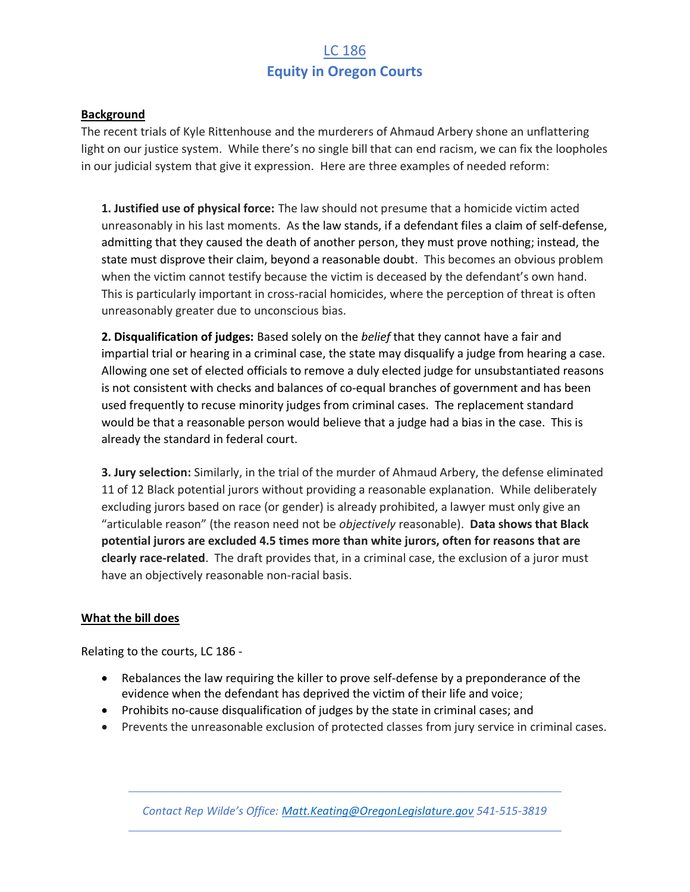## LC 186 **Equity in Oregon Courts**

### **Background**

The recent trials of Kyle Rittenhouse and the murderers of Ahmaud Arbery shone an unflattering light on our justice system. While there's no single bill that can end racism, we can fix the loopholes in our judicial system that give it expression. Here are three examples of needed reform:

**1. Justified use of physical force:** The law should not presume that a homicide victim acted unreasonably in his last moments. As the law stands, if a defendant files a claim of self-defense, admitting that they caused the death of another person, they must prove nothing; instead, the state must disprove their claim, beyond a reasonable doubt. This becomes an obvious problem when the victim cannot testify because the victim is deceased by the defendant's own hand. This is particularly important in cross-racial homicides, where the perception of threat is often unreasonably greater due to unconscious bias.

**2. Disqualification of judges:** Based solely on the *belief* that they cannot have a fair and impartial trial or hearing in a criminal case, the state may disqualify a judge from hearing a case. Allowing one set of elected officials to remove a duly elected judge for unsubstantiated reasons is not consistent with checks and balances of co-equal branches of government and has been used frequently to recuse minority judges from criminal cases. The replacement standard would be that a reasonable person would believe that a judge had a bias in the case. This is already the standard in federal court.

**3. Jury selection:** Similarly, in the trial of the murder of Ahmaud Arbery, the defense eliminated 11 of 12 Black potential jurors without providing a reasonable explanation. While deliberately excluding jurors based on race (or gender) is already prohibited, a lawyer must only give an "articulable reason" (the reason need not be *objectively* reasonable). **Data shows that Black potential jurors are excluded 4.5 times more than white jurors, often for reasons that are clearly race-related**. The draft provides that, in a criminal case, the exclusion of a juror must have an objectively reasonable non-racial basis.

### **What the bill does**

Relating to the courts, LC 186 -

- Rebalances the law requiring the killer to prove self-defense by a preponderance of the evidence when the defendant has deprived the victim of their life and voice;
- Prohibits no-cause disqualification of judges by the state in criminal cases; and
- Prevents the unreasonable exclusion of protected classes from jury service in criminal cases.

*Contact Rep Wilde's Office: [Matt.Keating@OregonLegislature.gov](mailto:Matt.Keating@OregonLegislature.gov) 541-515-3819*